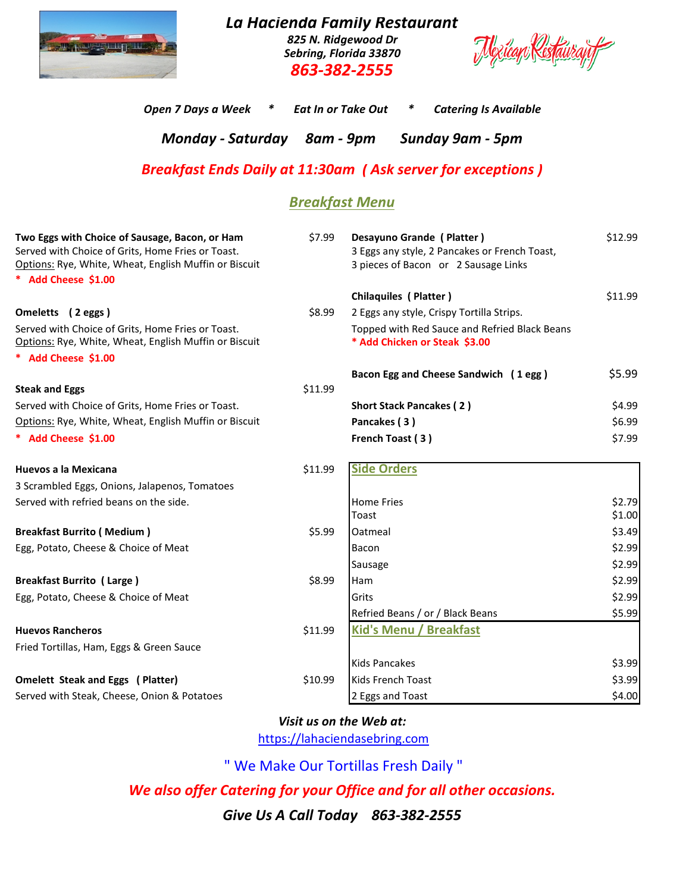

### *La Hacienda Family Restaurant*

*825 N. Ridgewood Dr Sebring, Florida 33870 863-382-2555*



*Open 7 Days a Week \* Eat In or Take Out \* Catering Is Available*

*Monday - Saturday 8am - 9pm Sunday 9am - 5pm*

## *Breakfast Ends Daily at 11:30am ( Ask server for exceptions )*

### *Breakfast Menu*

| Two Eggs with Choice of Sausage, Bacon, or Ham<br>Served with Choice of Grits, Home Fries or Toast.        | \$7.99  | Desayuno Grande (Platter)<br>3 Eggs any style, 2 Pancakes or French Toast,     | \$12.99          |
|------------------------------------------------------------------------------------------------------------|---------|--------------------------------------------------------------------------------|------------------|
| Options: Rye, White, Wheat, English Muffin or Biscuit                                                      |         | 3 pieces of Bacon or 2 Sausage Links                                           |                  |
| * Add Cheese \$1.00                                                                                        |         |                                                                                |                  |
|                                                                                                            |         | Chilaquiles (Platter)                                                          | \$11.99          |
| Omeletts (2 eggs)                                                                                          | \$8.99  | 2 Eggs any style, Crispy Tortilla Strips.                                      |                  |
| Served with Choice of Grits, Home Fries or Toast.<br>Options: Rye, White, Wheat, English Muffin or Biscuit |         | Topped with Red Sauce and Refried Black Beans<br>* Add Chicken or Steak \$3.00 |                  |
| * Add Cheese \$1.00                                                                                        |         |                                                                                |                  |
|                                                                                                            |         | Bacon Egg and Cheese Sandwich (1egg)                                           | \$5.99           |
| <b>Steak and Eggs</b>                                                                                      | \$11.99 |                                                                                |                  |
| Served with Choice of Grits, Home Fries or Toast.                                                          |         | <b>Short Stack Pancakes (2)</b>                                                | \$4.99           |
| Options: Rye, White, Wheat, English Muffin or Biscuit                                                      |         | Pancakes (3)                                                                   | \$6.99           |
| * Add Cheese \$1.00                                                                                        |         | French Toast (3)                                                               | \$7.99           |
| Huevos a la Mexicana                                                                                       | \$11.99 | <b>Side Orders</b>                                                             |                  |
| 3 Scrambled Eggs, Onions, Jalapenos, Tomatoes                                                              |         |                                                                                |                  |
| Served with refried beans on the side.                                                                     |         | <b>Home Fries</b><br>Toast                                                     | \$2.79<br>\$1.00 |
| <b>Breakfast Burrito (Medium)</b>                                                                          | \$5.99  | Oatmeal                                                                        | \$3.49           |
| Egg, Potato, Cheese & Choice of Meat                                                                       |         | Bacon                                                                          | \$2.99           |
|                                                                                                            |         | Sausage                                                                        | \$2.99           |
| <b>Breakfast Burrito (Large)</b>                                                                           | \$8.99  | Ham                                                                            | \$2.99           |
| Egg, Potato, Cheese & Choice of Meat                                                                       |         | Grits                                                                          | \$2.99           |
|                                                                                                            |         | Refried Beans / or / Black Beans                                               | \$5.99           |
| <b>Huevos Rancheros</b>                                                                                    | \$11.99 | <b>Kid's Menu / Breakfast</b>                                                  |                  |
| Fried Tortillas, Ham, Eggs & Green Sauce                                                                   |         |                                                                                |                  |
|                                                                                                            |         | <b>Kids Pancakes</b>                                                           | \$3.99           |
| <b>Omelett Steak and Eggs (Platter)</b>                                                                    | \$10.99 | <b>Kids French Toast</b>                                                       | \$3.99           |
| Served with Steak, Cheese, Onion & Potatoes                                                                |         | 2 Eggs and Toast                                                               | \$4.00           |

#### *Visit us on the Web at:*

[http](https://lahaciendasebring.com/)s://lahaciendasebring.com

" We Make Our Tortillas Fresh Daily "

*We also offer Catering for your Office and for all other occasions.*

*Give Us A Call Today 863-382-2555*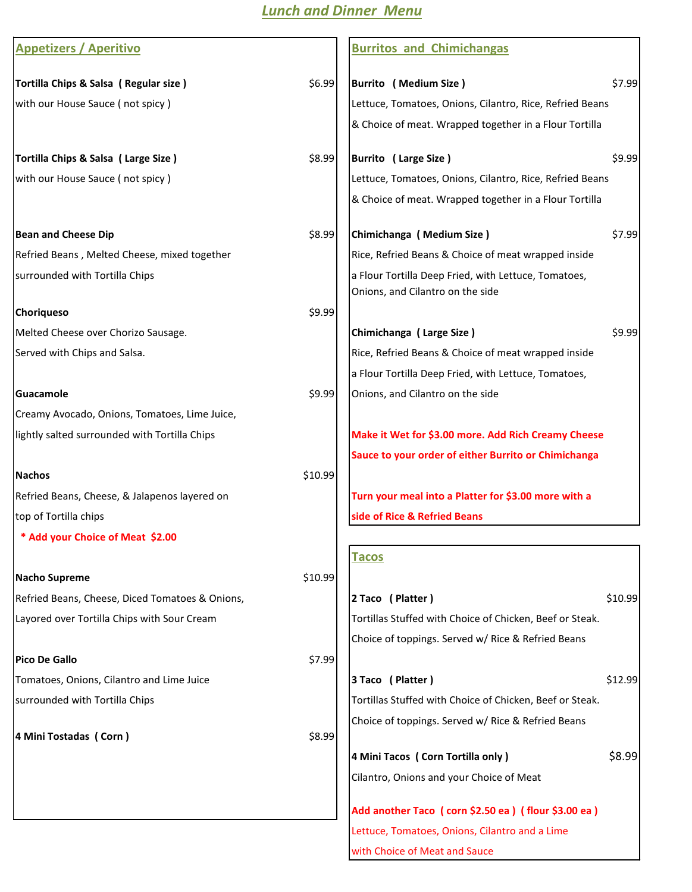## *Lunch and Dinner Menu*

| <b>Appetizers / Aperitivo</b>                   |         | <b>Burritos and Chimichangas</b>                                                         |         |
|-------------------------------------------------|---------|------------------------------------------------------------------------------------------|---------|
| Tortilla Chips & Salsa (Regular size)           | \$6.99  | Burrito (Medium Size)                                                                    | \$7.99  |
| with our House Sauce (not spicy)                |         | Lettuce, Tomatoes, Onions, Cilantro, Rice, Refried Beans                                 |         |
|                                                 |         | & Choice of meat. Wrapped together in a Flour Tortilla                                   |         |
| Tortilla Chips & Salsa ( Large Size )           | \$8.99  | Burrito (Large Size)                                                                     | \$9.99  |
| with our House Sauce (not spicy)                |         | Lettuce, Tomatoes, Onions, Cilantro, Rice, Refried Beans                                 |         |
|                                                 |         | & Choice of meat. Wrapped together in a Flour Tortilla                                   |         |
| <b>Bean and Cheese Dip</b>                      | \$8.99  | Chimichanga (Medium Size)                                                                | \$7.99  |
| Refried Beans, Melted Cheese, mixed together    |         | Rice, Refried Beans & Choice of meat wrapped inside                                      |         |
| surrounded with Tortilla Chips                  |         | a Flour Tortilla Deep Fried, with Lettuce, Tomatoes,                                     |         |
|                                                 |         | Onions, and Cilantro on the side                                                         |         |
| <b>Choriqueso</b>                               | \$9.99  |                                                                                          |         |
| Melted Cheese over Chorizo Sausage.             |         | Chimichanga (Large Size)                                                                 | \$9.99  |
| Served with Chips and Salsa.                    |         | Rice, Refried Beans & Choice of meat wrapped inside                                      |         |
| Guacamole                                       | \$9.99  | a Flour Tortilla Deep Fried, with Lettuce, Tomatoes,<br>Onions, and Cilantro on the side |         |
| Creamy Avocado, Onions, Tomatoes, Lime Juice,   |         |                                                                                          |         |
| lightly salted surrounded with Tortilla Chips   |         | Make it Wet for \$3.00 more. Add Rich Creamy Cheese                                      |         |
|                                                 |         | Sauce to your order of either Burrito or Chimichanga                                     |         |
| <b>Nachos</b>                                   | \$10.99 |                                                                                          |         |
| Refried Beans, Cheese, & Jalapenos layered on   |         | Turn your meal into a Platter for \$3.00 more with a                                     |         |
| top of Tortilla chips                           |         | side of Rice & Refried Beans                                                             |         |
| * Add your Choice of Meat \$2.00                |         |                                                                                          |         |
|                                                 |         | <b>Tacos</b>                                                                             |         |
| Nacho Supreme                                   | \$10.99 |                                                                                          |         |
| Refried Beans, Cheese, Diced Tomatoes & Onions, |         | 2 Taco (Platter)                                                                         | \$10.99 |
| Layored over Tortilla Chips with Sour Cream     |         | Tortillas Stuffed with Choice of Chicken, Beef or Steak.                                 |         |
|                                                 |         | Choice of toppings. Served w/ Rice & Refried Beans                                       |         |
| Pico De Gallo                                   | \$7.99  |                                                                                          |         |
| Tomatoes, Onions, Cilantro and Lime Juice       |         | 3 Taco (Platter)                                                                         | \$12.99 |
| surrounded with Tortilla Chips                  |         | Tortillas Stuffed with Choice of Chicken, Beef or Steak.                                 |         |
|                                                 |         | Choice of toppings. Served w/ Rice & Refried Beans                                       |         |
| 4 Mini Tostadas (Corn)                          | \$8.99  |                                                                                          |         |
|                                                 |         | 4 Mini Tacos (Corn Tortilla only)                                                        | \$8.99  |
|                                                 |         | Cilantro, Onions and your Choice of Meat                                                 |         |
|                                                 |         | Add another Taco (corn \$2.50 ea) (flour \$3.00 ea)                                      |         |
|                                                 |         | Lettuce, Tomatoes, Onions, Cilantro and a Lime                                           |         |
|                                                 |         | with Choice of Meat and Sauce                                                            |         |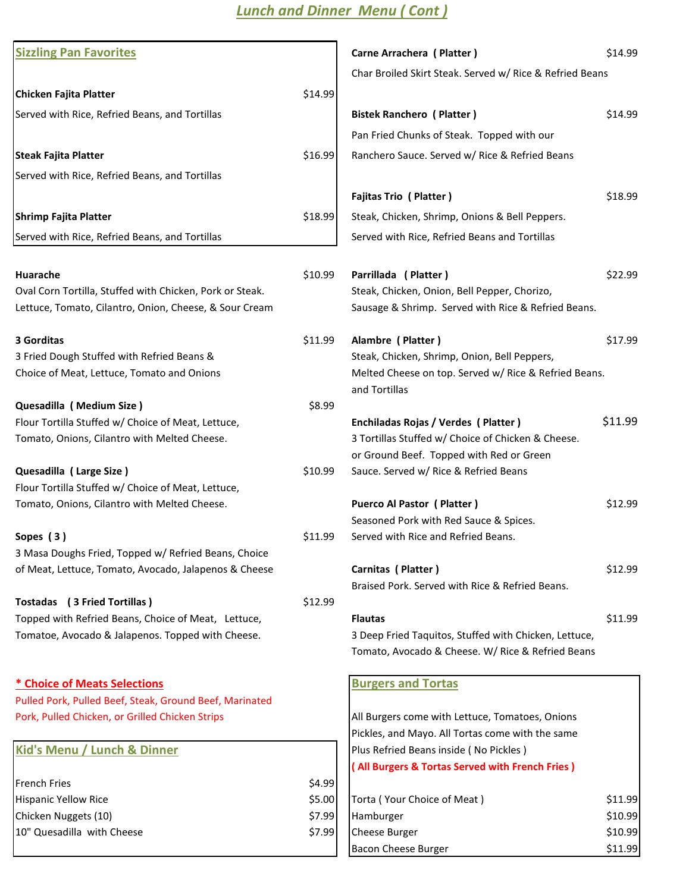# *Lunch and Dinner Menu ( Cont )*

| <b>Sizzling Pan Favorites</b>                            |         | Carne Arrachera (Platter)                                                                      | \$14.99 |
|----------------------------------------------------------|---------|------------------------------------------------------------------------------------------------|---------|
|                                                          |         | Char Broiled Skirt Steak. Served w/ Rice & Refried Beans                                       |         |
| Chicken Fajita Platter                                   | \$14.99 |                                                                                                |         |
| Served with Rice, Refried Beans, and Tortillas           |         | <b>Bistek Ranchero (Platter)</b>                                                               | \$14.99 |
|                                                          |         | Pan Fried Chunks of Steak. Topped with our                                                     |         |
| <b>Steak Fajita Platter</b>                              | \$16.99 | Ranchero Sauce. Served w/ Rice & Refried Beans                                                 |         |
| Served with Rice, Refried Beans, and Tortillas           |         |                                                                                                |         |
|                                                          |         | Fajitas Trio (Platter)                                                                         | \$18.99 |
| <b>Shrimp Fajita Platter</b>                             | \$18.99 | Steak, Chicken, Shrimp, Onions & Bell Peppers.                                                 |         |
| Served with Rice, Refried Beans, and Tortillas           |         | Served with Rice, Refried Beans and Tortillas                                                  |         |
|                                                          |         |                                                                                                |         |
| Huarache                                                 | \$10.99 | Parrillada (Platter)                                                                           | \$22.99 |
| Oval Corn Tortilla, Stuffed with Chicken, Pork or Steak. |         | Steak, Chicken, Onion, Bell Pepper, Chorizo,                                                   |         |
| Lettuce, Tomato, Cilantro, Onion, Cheese, & Sour Cream   |         | Sausage & Shrimp. Served with Rice & Refried Beans.                                            |         |
| 3 Gorditas                                               | \$11.99 | Alambre (Platter)                                                                              | \$17.99 |
| 3 Fried Dough Stuffed with Refried Beans &               |         | Steak, Chicken, Shrimp, Onion, Bell Peppers,                                                   |         |
| Choice of Meat, Lettuce, Tomato and Onions               |         | Melted Cheese on top. Served w/ Rice & Refried Beans.<br>and Tortillas                         |         |
| Quesadilla (Medium Size)                                 | \$8.99  |                                                                                                |         |
| Flour Tortilla Stuffed w/ Choice of Meat, Lettuce,       |         | Enchiladas Rojas / Verdes (Platter)                                                            | \$11.99 |
| Tomato, Onions, Cilantro with Melted Cheese.             |         | 3 Tortillas Stuffed w/ Choice of Chicken & Cheese.<br>or Ground Beef. Topped with Red or Green |         |
| Quesadilla (Large Size)                                  | \$10.99 | Sauce. Served w/ Rice & Refried Beans                                                          |         |
| Flour Tortilla Stuffed w/ Choice of Meat, Lettuce,       |         |                                                                                                |         |
| Tomato, Onions, Cilantro with Melted Cheese.             |         | <b>Puerco Al Pastor (Platter)</b><br>Seasoned Pork with Red Sauce & Spices.                    | \$12.99 |
| Sopes $(3)$                                              | \$11.99 | Served with Rice and Refried Beans.                                                            |         |
| 3 Masa Doughs Fried, Topped w/ Refried Beans, Choice     |         |                                                                                                |         |
| of Meat, Lettuce, Tomato, Avocado, Jalapenos & Cheese    |         | Carnitas (Platter)                                                                             | \$12.99 |
|                                                          |         | Braised Pork. Served with Rice & Refried Beans.                                                |         |
| Tostadas (3 Fried Tortillas)                             | \$12.99 |                                                                                                |         |
| Topped with Refried Beans, Choice of Meat, Lettuce,      |         | <b>Flautas</b><br>3 Deep Fried Taquitos, Stuffed with Chicken, Lettuce,                        | \$11.99 |
| Tomatoe, Avocado & Jalapenos. Topped with Cheese.        |         | Tomato, Avocado & Cheese. W/ Rice & Refried Beans                                              |         |
| * Choice of Meats Selections                             |         | <b>Burgers and Tortas</b>                                                                      |         |
| Pulled Pork, Pulled Beef, Steak, Ground Beef, Marinated  |         |                                                                                                |         |
| Pork, Pulled Chicken, or Grilled Chicken Strips          |         | All Burgers come with Lettuce, Tomatoes, Onions                                                |         |
|                                                          |         | Pickles, and Mayo. All Tortas come with the same                                               |         |
| Kid's Menu / Lunch & Dinner                              |         | Plus Refried Beans inside (No Pickles)                                                         |         |
|                                                          |         | (All Burgers & Tortas Served with French Fries)                                                |         |
| <b>French Fries</b>                                      | \$4.99  |                                                                                                |         |
| <b>Hispanic Yellow Rice</b>                              | \$5.00  | Torta (Your Choice of Meat)                                                                    | \$11.99 |
| Chicken Nuggets (10)<br>10" Quesadilla with Cheese       | \$7.99  | Hamburger                                                                                      | \$10.99 |
|                                                          | \$7.99  | Cheese Burger                                                                                  | \$10.99 |
|                                                          |         | <b>Bacon Cheese Burger</b>                                                                     | \$11.99 |